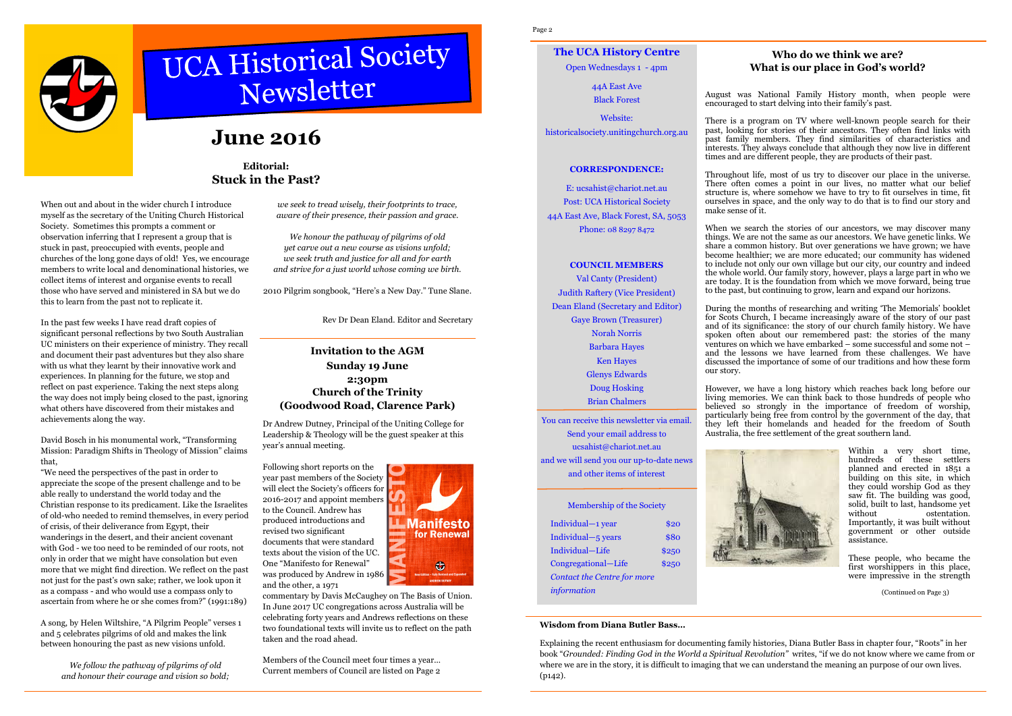# UCA Historical Society

# **June 2016**

When out and about in the wider church I introduce myself as the secretary of the Uniting Church Historical Society. Sometimes this prompts a comment or observation inferring that I represent a group that is stuck in past, preoccupied with events, people and churches of the long gone days of old! Yes, we encourage members to write local and denominational histories, we collect items of interest and organise events to recall those who have served and ministered in SA but we do this to learn from the past not to replicate it.

In the past few weeks I have read draft copies of significant personal reflections by two South Australian UC ministers on their experience of ministry. They recall and document their past adventures but they also sharewith us what they learnt by their innovative work and experiences. In planning for the future, we stop and reflect on past experience. Taking the next steps along the way does not imply being closed to the past, ignoring what others have discovered from their mistakes and achievements along the way.

David Bosch in his monumental work, "Transforming Mission: Paradigm Shifts in Theology of Mission" claimsthat,

"We need the perspectives of the past in order to appreciate the scope of the present challenge and to be able really to understand the world today and the Christian response to its predicament. Like the Israelites of old-who needed to remind themselves, in every period of crisis, of their deliverance from Egypt, their wanderings in the desert, and their ancient covenant with God - we too need to be reminded of our roots, not only in order that we might have consolation but even more that we might find direction. We reflect on the past not just for the past's own sake; rather, we look upon it as a compass - and who would use a compass only to ascertain from where he or she comes from?" (1991:189)

A song, by Helen Wiltshire, "A Pilgrim People" verses 1 and 5 celebrates pilgrims of old and makes the link between honouring the past as new visions unfold.

> *We follow the pathway of pilgrims of old and honour their courage and vision so bold;*

*we seek to tread wisely, their footprints to trace,aware of their presence, their passion and grace.* 

*We honour the pathway of pilgrims of old yet carve out a new course as visions unfold; we seek truth and justice for all and for earth and strive for a just world whose coming we birth.* 

2010 Pilgrim songbook, "Here's a New Day." Tune Slane.

Rev Dr Dean Eland. Editor and Secretary

## **Editorial:Stuck in the Past?**

Dr Andrew Dutney, Principal of the Uniting College for Leadership & Theology will be the guest speaker at this year's annual meeting.

Following short reports on the year past members of the Society will elect the Society's officers for 2016-2017 and appoint members to the Council. Andrew has produced introductions and revised two significant documents that were standard texts about the vision of the UC. One "Manifesto for Renewal" was produced by Andrew in 1986 and the other, a 1971



## **Invitation to the AGM Sunday 19 June 2:30pm Church of the Trinity (Goodwood Road, Clarence Park)**

commentary by Davis McCaughey on The Basis of Union. In June 2017 UC congregations across Australia will be celebrating forty years and Andrews reflections on these two foundational texts will invite us to reflect on the path taken and the road ahead.

Members of the Council meet four times a year... Current members of Council are listed on Page 2

Page 2

### **Who do we think we are? What is our place in God's world?**

August was National Family History month, when people were encouraged to start delving into their family's past.

There is a program on TV where well-known people search for their past, looking for stories of their ancestors. They often find links with past family members. They find similarities of characteristics and interests. They always conclude that although they now live in different times and are different people, they are products of their past.

Throughout life, most of us try to discover our place in the universe. There often comes a point in our lives, no matter what our belief structure is, where somehow we have to try to fit ourselves in time, fit ourselves in space, and the only way to do that is to find our story and make sense of it.

When we search the stories of our ancestors, we may discover many things. We are not the same as our ancestors. We have genetic links. We share a common history. But over generations we have grown; we have become healthier; we are more educated; our community has widened to include not only our own village but our city, our country and indeed the whole world. Our family story, however, plays a large part in who we are today. It is the foundation from which we move forward, being true to the past, but continuing to grow, learn and expand our horizons.

During the months of researching and writing 'The Memorials' booklet for Scots Church, I became increasingly aware of the story of our past and of its significance: the story of our church family history. We have spoken often about our remembered past: the stories of the many ventures on which we have embarked – some successful and some not – and the lessons we have learned from these challenges. We have discussed the importance of some of our traditions and how these form

our story.

However, we have a long history which reaches back long before our living memories. We can think back to those hundreds of people who believed so strongly in the importance of freedom of worship, particularly being free from control by the government of the day, that they left their homelands and headed for the freedom of South Australia, the free settlement of the great southern land.

> Within a very short time, hundreds of these settlers planned and erected in 1851 a building on this site, in which they could worship God as they saw fit. The building was good, solid, built to last, handsome yet without ostentation. Importantly, it was built without government or other outside assistance.

> These people, who became the first worshippers in this place, were impressive in the strength

**The UCA History Centre** 

Open Wednesdays 1 - 4pm

44A East Ave Black Forest

Website: historicalsociety.unitingchurch.org.au

#### **CORRESPONDENCE:**

E: ucsahist@chariot.net.au Post: UCA Historical Society 44A East Ave, Black Forest, SA, 5053 Phone: 08 8297 8472

#### **COUNCIL MEMBERS**

Val Canty (President) Judith Raftery (Vice President) Dean Eland (Secretary and Editor) Gaye Brown (Treasurer) Norah Norris Barbara Hayes Ken Hayes Glenys Edwards Doug Hosking Brian Chalmers

You can receive this newsletter via email. Send your email address to ucsahist@chariot.net.au and we will send you our up-to-date news and other items of interest

#### Membership of the Society

| Individual-1 year                  | \$20        |
|------------------------------------|-------------|
| Individual-5 years                 | <b>\$80</b> |
| Individual-Life                    | \$250       |
| Congregational-Life                | \$250       |
| <b>Contact the Centre for more</b> |             |
| information                        |             |



#### **Wisdom from Diana Butler Bass…**

Explaining the recent enthusiasm for documenting family histories, Diana Butler Bass in chapter four, "Roots" in her book "*Grounded: Finding God in the World a Spiritual Revolution"* writes, "if we do not know where we came from or where we are in the story, it is difficult to imaging that we can understand the meaning an purpose of our own lives. (p142).

(Continued on Page 3)